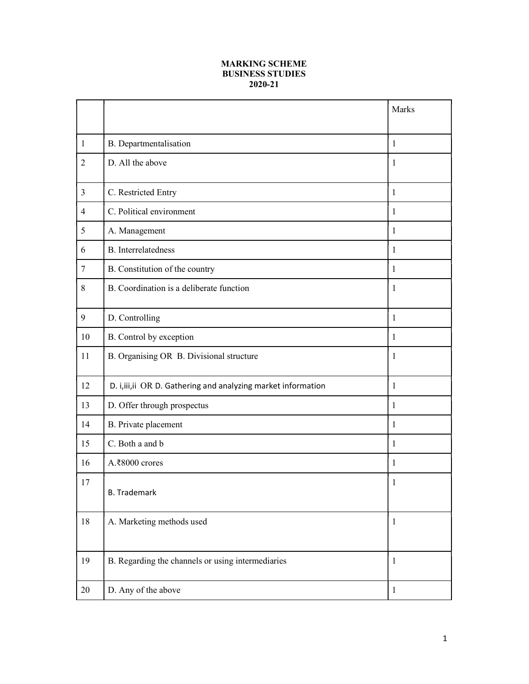## MARKING SCHEME BUSINESS STUDIES 2020-21

|                 |                                                                | Marks        |
|-----------------|----------------------------------------------------------------|--------------|
|                 |                                                                |              |
| $\mathbf{1}$    | B. Departmentalisation                                         | 1            |
| $\overline{2}$  | D. All the above                                               | 1            |
| $\overline{3}$  | C. Restricted Entry                                            | $\mathbf{1}$ |
| $\overline{4}$  | C. Political environment                                       | 1            |
| 5               | A. Management                                                  | 1            |
| 6               | <b>B.</b> Interrelatedness                                     | 1            |
| $7\phantom{.0}$ | B. Constitution of the country                                 | 1            |
| 8               | B. Coordination is a deliberate function                       | 1            |
| 9               | D. Controlling                                                 | $\mathbf{1}$ |
| 10              | B. Control by exception                                        | 1            |
| 11              | B. Organising OR B. Divisional structure                       | 1            |
| 12              | D. i, iii, ii OR D. Gathering and analyzing market information | 1            |
| 13              | D. Offer through prospectus                                    | 1            |
| 14              | B. Private placement                                           | 1            |
| 15              | C. Both a and b                                                | 1            |
| 16              | A.₹8000 crores                                                 | 1            |
| 17              | <b>B.</b> Trademark                                            | 1            |
| 18              | A. Marketing methods used                                      | $\mathbf{1}$ |
| 19              | B. Regarding the channels or using intermediaries              | $\mathbf{1}$ |
| 20              | D. Any of the above                                            | $\mathbf{1}$ |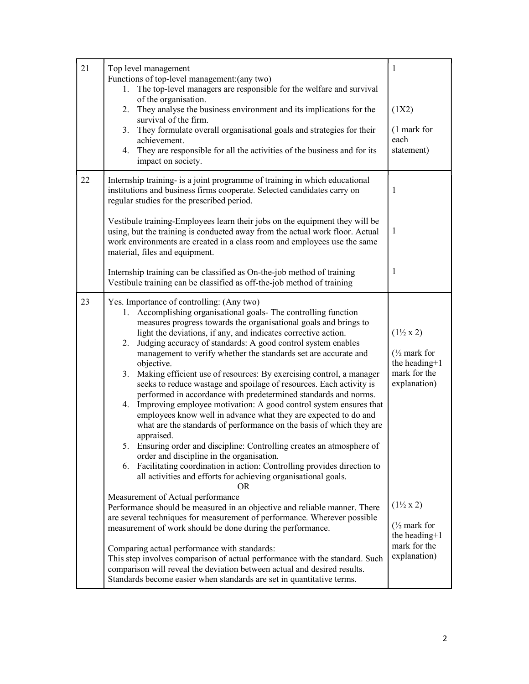| 21 | Top level management                                                                                                                                                                                                                                                                                                                                                                                                                                                                                                                                                                                                                                                                                                                                                                                                                                                                                                                                                                                                                                                                                                                                                                                                                                                                                                                               | $\mathbf{1}$                                                                                                                      |
|----|----------------------------------------------------------------------------------------------------------------------------------------------------------------------------------------------------------------------------------------------------------------------------------------------------------------------------------------------------------------------------------------------------------------------------------------------------------------------------------------------------------------------------------------------------------------------------------------------------------------------------------------------------------------------------------------------------------------------------------------------------------------------------------------------------------------------------------------------------------------------------------------------------------------------------------------------------------------------------------------------------------------------------------------------------------------------------------------------------------------------------------------------------------------------------------------------------------------------------------------------------------------------------------------------------------------------------------------------------|-----------------------------------------------------------------------------------------------------------------------------------|
|    | Functions of top-level management: (any two)<br>1. The top-level managers are responsible for the welfare and survival<br>of the organisation.                                                                                                                                                                                                                                                                                                                                                                                                                                                                                                                                                                                                                                                                                                                                                                                                                                                                                                                                                                                                                                                                                                                                                                                                     |                                                                                                                                   |
|    | 2. They analyse the business environment and its implications for the<br>survival of the firm.                                                                                                                                                                                                                                                                                                                                                                                                                                                                                                                                                                                                                                                                                                                                                                                                                                                                                                                                                                                                                                                                                                                                                                                                                                                     | (1X2)                                                                                                                             |
|    | 3. They formulate overall organisational goals and strategies for their<br>achievement.<br>4. They are responsible for all the activities of the business and for its<br>impact on society.                                                                                                                                                                                                                                                                                                                                                                                                                                                                                                                                                                                                                                                                                                                                                                                                                                                                                                                                                                                                                                                                                                                                                        | (1 mark for<br>each<br>statement)                                                                                                 |
| 22 | Internship training- is a joint programme of training in which educational<br>institutions and business firms cooperate. Selected candidates carry on<br>regular studies for the prescribed period.                                                                                                                                                                                                                                                                                                                                                                                                                                                                                                                                                                                                                                                                                                                                                                                                                                                                                                                                                                                                                                                                                                                                                | 1                                                                                                                                 |
|    | Vestibule training-Employees learn their jobs on the equipment they will be<br>using, but the training is conducted away from the actual work floor. Actual<br>work environments are created in a class room and employees use the same<br>material, files and equipment.                                                                                                                                                                                                                                                                                                                                                                                                                                                                                                                                                                                                                                                                                                                                                                                                                                                                                                                                                                                                                                                                          | 1                                                                                                                                 |
|    | Internship training can be classified as On-the-job method of training<br>Vestibule training can be classified as off-the-job method of training                                                                                                                                                                                                                                                                                                                                                                                                                                                                                                                                                                                                                                                                                                                                                                                                                                                                                                                                                                                                                                                                                                                                                                                                   | 1                                                                                                                                 |
| 23 | Yes. Importance of controlling: (Any two)<br>1. Accomplishing organisational goals- The controlling function<br>measures progress towards the organisational goals and brings to<br>light the deviations, if any, and indicates corrective action.<br>Judging accuracy of standards: A good control system enables<br>2.<br>management to verify whether the standards set are accurate and<br>objective.<br>Making efficient use of resources: By exercising control, a manager<br>3.<br>seeks to reduce wastage and spoilage of resources. Each activity is<br>performed in accordance with predetermined standards and norms.<br>4. Improving employee motivation: A good control system ensures that<br>employees know well in advance what they are expected to do and<br>what are the standards of performance on the basis of which they are<br>appraised.<br>5. Ensuring order and discipline: Controlling creates an atmosphere of<br>order and discipline in the organisation.<br>6. Facilitating coordination in action: Controlling provides direction to<br>all activities and efforts for achieving organisational goals.<br><b>OR</b><br>Measurement of Actual performance<br>Performance should be measured in an objective and reliable manner. There<br>are several techniques for measurement of performance. Wherever possible | $(1\frac{1}{2} \times 2)$<br>$\frac{1}{2}$ mark for<br>the heading+1<br>mark for the<br>explanation)<br>$(1\frac{1}{2} \times 2)$ |
|    | measurement of work should be done during the performance.<br>Comparing actual performance with standards:<br>This step involves comparison of actual performance with the standard. Such<br>comparison will reveal the deviation between actual and desired results.<br>Standards become easier when standards are set in quantitative terms.                                                                                                                                                                                                                                                                                                                                                                                                                                                                                                                                                                                                                                                                                                                                                                                                                                                                                                                                                                                                     | $\frac{1}{2}$ mark for<br>the heading+1<br>mark for the<br>explanation)                                                           |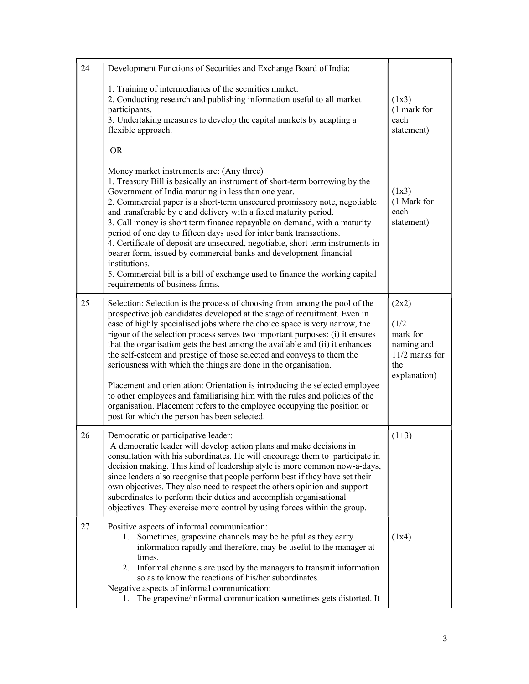| 24 | Development Functions of Securities and Exchange Board of India:                                                                                                                                                                                                                                                                                                                                                                                                                                                                                                                                                                                                                                                                                                                              |                                                                                   |
|----|-----------------------------------------------------------------------------------------------------------------------------------------------------------------------------------------------------------------------------------------------------------------------------------------------------------------------------------------------------------------------------------------------------------------------------------------------------------------------------------------------------------------------------------------------------------------------------------------------------------------------------------------------------------------------------------------------------------------------------------------------------------------------------------------------|-----------------------------------------------------------------------------------|
|    | 1. Training of intermediaries of the securities market.<br>2. Conducting research and publishing information useful to all market<br>participants.<br>3. Undertaking measures to develop the capital markets by adapting a<br>flexible approach.                                                                                                                                                                                                                                                                                                                                                                                                                                                                                                                                              | (1x3)<br>(1 mark for<br>each<br>statement)                                        |
|    | <b>OR</b>                                                                                                                                                                                                                                                                                                                                                                                                                                                                                                                                                                                                                                                                                                                                                                                     |                                                                                   |
|    | Money market instruments are: (Any three)<br>1. Treasury Bill is basically an instrument of short-term borrowing by the<br>Government of India maturing in less than one year.<br>2. Commercial paper is a short-term unsecured promissory note, negotiable<br>and transferable by e and delivery with a fixed maturity period.<br>3. Call money is short term finance repayable on demand, with a maturity<br>period of one day to fifteen days used for inter bank transactions.<br>4. Certificate of deposit are unsecured, negotiable, short term instruments in<br>bearer form, issued by commercial banks and development financial<br>institutions.<br>5. Commercial bill is a bill of exchange used to finance the working capital<br>requirements of business firms.                 | (1x3)<br>(1 Mark for<br>each<br>statement)                                        |
| 25 | Selection: Selection is the process of choosing from among the pool of the<br>prospective job candidates developed at the stage of recruitment. Even in<br>case of highly specialised jobs where the choice space is very narrow, the<br>rigour of the selection process serves two important purposes: (i) it ensures<br>that the organisation gets the best among the available and (ii) it enhances<br>the self-esteem and prestige of those selected and conveys to them the<br>seriousness with which the things are done in the organisation.<br>Placement and orientation: Orientation is introducing the selected employee<br>to other employees and familiarising him with the rules and policies of the<br>organisation. Placement refers to the employee occupying the position or | (2x2)<br>(1/2)<br>mark for<br>naming and<br>11/2 marks for<br>the<br>explanation) |
|    | post for which the person has been selected.                                                                                                                                                                                                                                                                                                                                                                                                                                                                                                                                                                                                                                                                                                                                                  |                                                                                   |
| 26 | Democratic or participative leader:<br>A democratic leader will develop action plans and make decisions in<br>consultation with his subordinates. He will encourage them to participate in<br>decision making. This kind of leadership style is more common now-a-days,<br>since leaders also recognise that people perform best if they have set their<br>own objectives. They also need to respect the others opinion and support<br>subordinates to perform their duties and accomplish organisational<br>objectives. They exercise more control by using forces within the group.                                                                                                                                                                                                         | $(1+3)$                                                                           |
| 27 | Positive aspects of informal communication:<br>Sometimes, grapevine channels may be helpful as they carry<br>1.<br>information rapidly and therefore, may be useful to the manager at<br>times.<br>2. Informal channels are used by the managers to transmit information<br>so as to know the reactions of his/her subordinates.<br>Negative aspects of informal communication:<br>The grapevine/informal communication sometimes gets distorted. It<br>Ι.                                                                                                                                                                                                                                                                                                                                    | (1x4)                                                                             |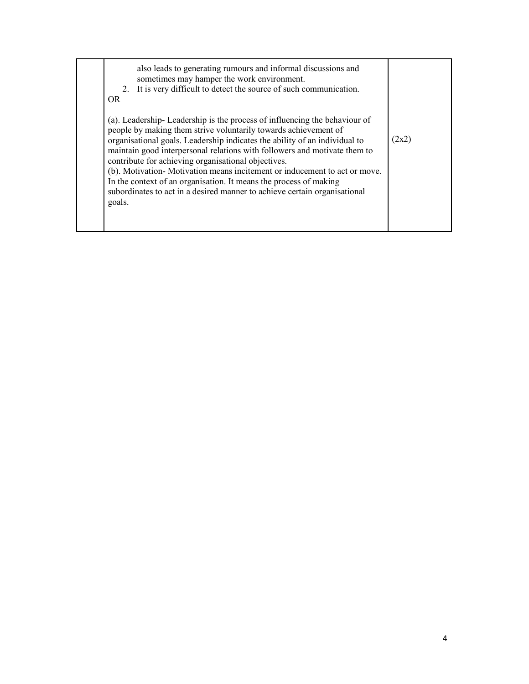| OR.    | also leads to generating rumours and informal discussions and<br>sometimes may hamper the work environment.<br>2. It is very difficult to detect the source of such communication.                                                                                                                                                                                                                                                                                                                                                                                                            |       |
|--------|-----------------------------------------------------------------------------------------------------------------------------------------------------------------------------------------------------------------------------------------------------------------------------------------------------------------------------------------------------------------------------------------------------------------------------------------------------------------------------------------------------------------------------------------------------------------------------------------------|-------|
| goals. | (a). Leadership-Leadership is the process of influencing the behaviour of<br>people by making them strive voluntarily towards achievement of<br>organisational goals. Leadership indicates the ability of an individual to<br>maintain good interpersonal relations with followers and motivate them to<br>contribute for achieving organisational objectives.<br>(b). Motivation-Motivation means incitement or inducement to act or move.<br>In the context of an organisation. It means the process of making<br>subordinates to act in a desired manner to achieve certain organisational | (2x2) |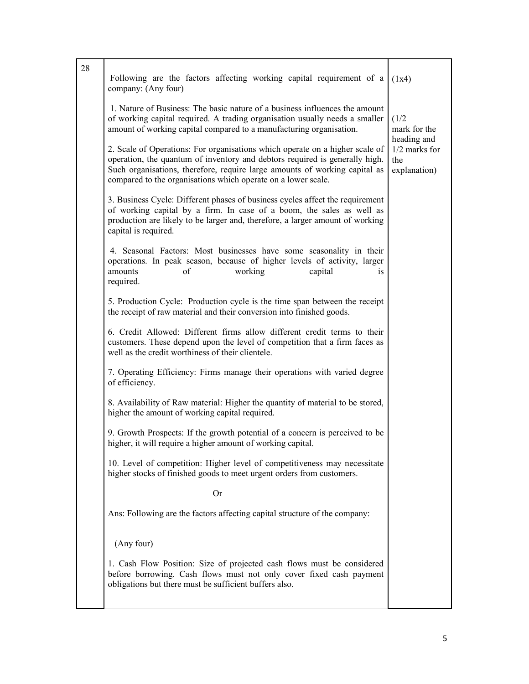| 28 | Following are the factors affecting working capital requirement of a<br>company: (Any four)                                                                                                                                                                                                                | (1x4)                                               |
|----|------------------------------------------------------------------------------------------------------------------------------------------------------------------------------------------------------------------------------------------------------------------------------------------------------------|-----------------------------------------------------|
|    | 1. Nature of Business: The basic nature of a business influences the amount<br>of working capital required. A trading organisation usually needs a smaller<br>amount of working capital compared to a manufacturing organisation.                                                                          | (1/2)<br>mark for the                               |
|    | 2. Scale of Operations: For organisations which operate on a higher scale of<br>operation, the quantum of inventory and debtors required is generally high.<br>Such organisations, therefore, require large amounts of working capital as<br>compared to the organisations which operate on a lower scale. | heading and<br>1/2 marks for<br>the<br>explanation) |
|    | 3. Business Cycle: Different phases of business cycles affect the requirement<br>of working capital by a firm. In case of a boom, the sales as well as<br>production are likely to be larger and, therefore, a larger amount of working<br>capital is required.                                            |                                                     |
|    | 4. Seasonal Factors: Most businesses have some seasonality in their<br>operations. In peak season, because of higher levels of activity, larger<br>amounts<br>of<br>working<br>capital<br>1S<br>required.                                                                                                  |                                                     |
|    | 5. Production Cycle: Production cycle is the time span between the receipt<br>the receipt of raw material and their conversion into finished goods.                                                                                                                                                        |                                                     |
|    | 6. Credit Allowed: Different firms allow different credit terms to their<br>customers. These depend upon the level of competition that a firm faces as<br>well as the credit worthiness of their clientele.                                                                                                |                                                     |
|    | 7. Operating Efficiency: Firms manage their operations with varied degree<br>of efficiency.                                                                                                                                                                                                                |                                                     |
|    | 8. Availability of Raw material: Higher the quantity of material to be stored,<br>higher the amount of working capital required.                                                                                                                                                                           |                                                     |
|    | 9. Growth Prospects: If the growth potential of a concern is perceived to be<br>higher, it will require a higher amount of working capital.                                                                                                                                                                |                                                     |
|    | 10. Level of competition: Higher level of competitiveness may necessitate<br>higher stocks of finished goods to meet urgent orders from customers.                                                                                                                                                         |                                                     |
|    | <b>Or</b>                                                                                                                                                                                                                                                                                                  |                                                     |
|    | Ans: Following are the factors affecting capital structure of the company:                                                                                                                                                                                                                                 |                                                     |
|    | (Any four)                                                                                                                                                                                                                                                                                                 |                                                     |
|    | 1. Cash Flow Position: Size of projected cash flows must be considered<br>before borrowing. Cash flows must not only cover fixed cash payment<br>obligations but there must be sufficient buffers also.                                                                                                    |                                                     |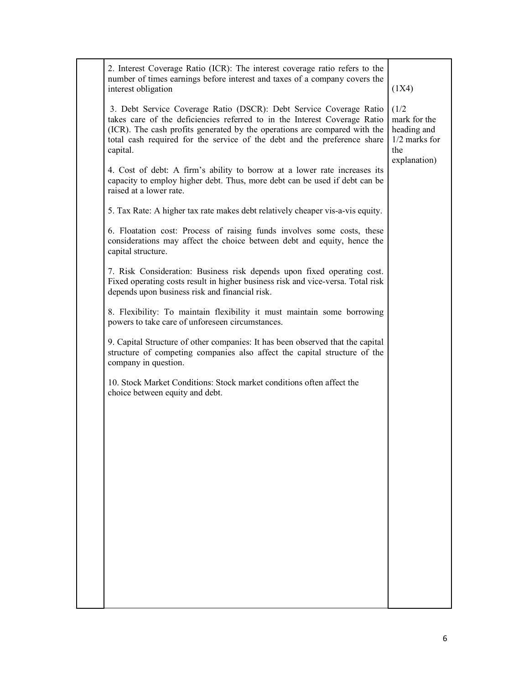| 2. Interest Coverage Ratio (ICR): The interest coverage ratio refers to the<br>number of times earnings before interest and taxes of a company covers the<br>interest obligation                                                                                                                                     | (1X4)                                                          |
|----------------------------------------------------------------------------------------------------------------------------------------------------------------------------------------------------------------------------------------------------------------------------------------------------------------------|----------------------------------------------------------------|
| 3. Debt Service Coverage Ratio (DSCR): Debt Service Coverage Ratio<br>takes care of the deficiencies referred to in the Interest Coverage Ratio<br>(ICR). The cash profits generated by the operations are compared with the<br>total cash required for the service of the debt and the preference share<br>capital. | (1/2)<br>mark for the<br>heading and<br>$1/2$ marks for<br>the |
| 4. Cost of debt: A firm's ability to borrow at a lower rate increases its<br>capacity to employ higher debt. Thus, more debt can be used if debt can be<br>raised at a lower rate.                                                                                                                                   | explanation)                                                   |
| 5. Tax Rate: A higher tax rate makes debt relatively cheaper vis-a-vis equity.                                                                                                                                                                                                                                       |                                                                |
| 6. Floatation cost: Process of raising funds involves some costs, these<br>considerations may affect the choice between debt and equity, hence the<br>capital structure.                                                                                                                                             |                                                                |
| 7. Risk Consideration: Business risk depends upon fixed operating cost.<br>Fixed operating costs result in higher business risk and vice-versa. Total risk<br>depends upon business risk and financial risk.                                                                                                         |                                                                |
| 8. Flexibility: To maintain flexibility it must maintain some borrowing<br>powers to take care of unforeseen circumstances.                                                                                                                                                                                          |                                                                |
| 9. Capital Structure of other companies: It has been observed that the capital<br>structure of competing companies also affect the capital structure of the<br>company in question.                                                                                                                                  |                                                                |
| 10. Stock Market Conditions: Stock market conditions often affect the<br>choice between equity and debt.                                                                                                                                                                                                             |                                                                |
|                                                                                                                                                                                                                                                                                                                      |                                                                |
|                                                                                                                                                                                                                                                                                                                      |                                                                |
|                                                                                                                                                                                                                                                                                                                      |                                                                |
|                                                                                                                                                                                                                                                                                                                      |                                                                |
|                                                                                                                                                                                                                                                                                                                      |                                                                |
|                                                                                                                                                                                                                                                                                                                      |                                                                |
|                                                                                                                                                                                                                                                                                                                      |                                                                |
|                                                                                                                                                                                                                                                                                                                      |                                                                |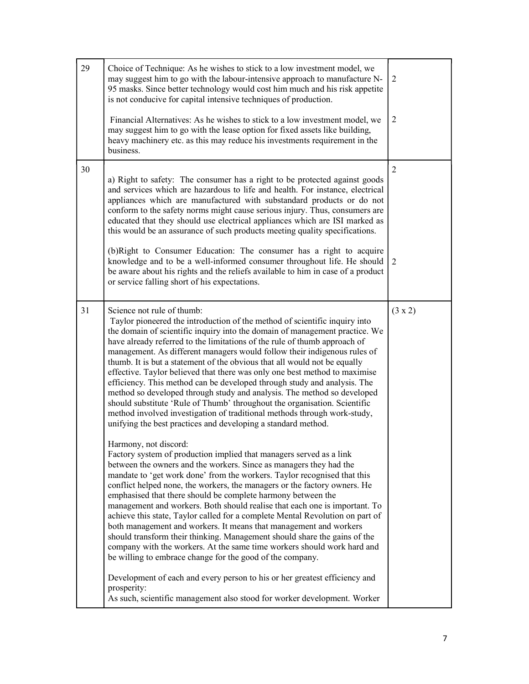| 29 | Choice of Technique: As he wishes to stick to a low investment model, we<br>may suggest him to go with the labour-intensive approach to manufacture N-<br>95 masks. Since better technology would cost him much and his risk appetite<br>is not conducive for capital intensive techniques of production.<br>Financial Alternatives: As he wishes to stick to a low investment model, we<br>may suggest him to go with the lease option for fixed assets like building,<br>heavy machinery etc. as this may reduce his investments requirement in the<br>business.                                                                                                                                                                                                                                                                                                                           | 2<br>2  |
|----|----------------------------------------------------------------------------------------------------------------------------------------------------------------------------------------------------------------------------------------------------------------------------------------------------------------------------------------------------------------------------------------------------------------------------------------------------------------------------------------------------------------------------------------------------------------------------------------------------------------------------------------------------------------------------------------------------------------------------------------------------------------------------------------------------------------------------------------------------------------------------------------------|---------|
| 30 | a) Right to safety: The consumer has a right to be protected against goods<br>and services which are hazardous to life and health. For instance, electrical<br>appliances which are manufactured with substandard products or do not<br>conform to the safety norms might cause serious injury. Thus, consumers are<br>educated that they should use electrical appliances which are ISI marked as<br>this would be an assurance of such products meeting quality specifications.<br>(b) Right to Consumer Education: The consumer has a right to acquire<br>knowledge and to be a well-informed consumer throughout life. He should<br>be aware about his rights and the reliefs available to him in case of a product<br>or service falling short of his expectations.                                                                                                                     | 2<br>2  |
| 31 | Science not rule of thumb:<br>Taylor pioneered the introduction of the method of scientific inquiry into<br>the domain of scientific inquiry into the domain of management practice. We<br>have already referred to the limitations of the rule of thumb approach of<br>management. As different managers would follow their indigenous rules of<br>thumb. It is but a statement of the obvious that all would not be equally<br>effective. Taylor believed that there was only one best method to maximise<br>efficiency. This method can be developed through study and analysis. The<br>method so developed through study and analysis. The method so developed<br>should substitute 'Rule of Thumb' throughout the organisation. Scientific<br>method involved investigation of traditional methods through work-study,<br>unifying the best practices and developing a standard method. | (3 x 2) |
|    | Harmony, not discord:<br>Factory system of production implied that managers served as a link<br>between the owners and the workers. Since as managers they had the<br>mandate to 'get work done' from the workers. Taylor recognised that this<br>conflict helped none, the workers, the managers or the factory owners. He<br>emphasised that there should be complete harmony between the<br>management and workers. Both should realise that each one is important. To<br>achieve this state, Taylor called for a complete Mental Revolution on part of<br>both management and workers. It means that management and workers<br>should transform their thinking. Management should share the gains of the<br>company with the workers. At the same time workers should work hard and<br>be willing to embrace change for the good of the company.                                         |         |
|    | Development of each and every person to his or her greatest efficiency and<br>prosperity:<br>As such, scientific management also stood for worker development. Worker                                                                                                                                                                                                                                                                                                                                                                                                                                                                                                                                                                                                                                                                                                                        |         |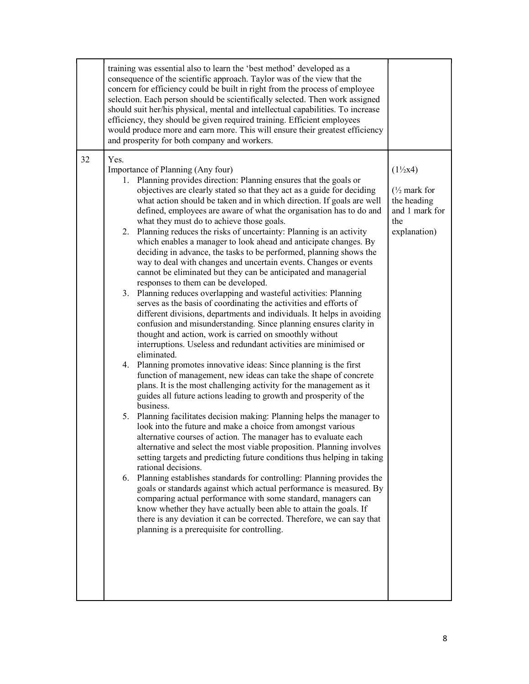|    | training was essential also to learn the 'best method' developed as a<br>consequence of the scientific approach. Taylor was of the view that the<br>concern for efficiency could be built in right from the process of employee<br>selection. Each person should be scientifically selected. Then work assigned<br>should suit her/his physical, mental and intellectual capabilities. To increase<br>efficiency, they should be given required training. Efficient employees<br>would produce more and earn more. This will ensure their greatest efficiency<br>and prosperity for both company and workers.                                                                                                                                                                                                                                                                                                                                                                                                                                                                                                                                                                                                                                                                                                                                                                                                                                                                                                                                                                                                                                                                                                                                                                                                                                                                                                                                                                                                                                                                                                                                                                                                                                                                                                                                       |                                                                                                      |
|----|-----------------------------------------------------------------------------------------------------------------------------------------------------------------------------------------------------------------------------------------------------------------------------------------------------------------------------------------------------------------------------------------------------------------------------------------------------------------------------------------------------------------------------------------------------------------------------------------------------------------------------------------------------------------------------------------------------------------------------------------------------------------------------------------------------------------------------------------------------------------------------------------------------------------------------------------------------------------------------------------------------------------------------------------------------------------------------------------------------------------------------------------------------------------------------------------------------------------------------------------------------------------------------------------------------------------------------------------------------------------------------------------------------------------------------------------------------------------------------------------------------------------------------------------------------------------------------------------------------------------------------------------------------------------------------------------------------------------------------------------------------------------------------------------------------------------------------------------------------------------------------------------------------------------------------------------------------------------------------------------------------------------------------------------------------------------------------------------------------------------------------------------------------------------------------------------------------------------------------------------------------------------------------------------------------------------------------------------------------|------------------------------------------------------------------------------------------------------|
| 32 | Yes.<br>Importance of Planning (Any four)<br>1. Planning provides direction: Planning ensures that the goals or<br>objectives are clearly stated so that they act as a guide for deciding<br>what action should be taken and in which direction. If goals are well<br>defined, employees are aware of what the organisation has to do and<br>what they must do to achieve those goals.<br>Planning reduces the risks of uncertainty: Planning is an activity<br>2.<br>which enables a manager to look ahead and anticipate changes. By<br>deciding in advance, the tasks to be performed, planning shows the<br>way to deal with changes and uncertain events. Changes or events<br>cannot be eliminated but they can be anticipated and managerial<br>responses to them can be developed.<br>Planning reduces overlapping and wasteful activities: Planning<br>3.<br>serves as the basis of coordinating the activities and efforts of<br>different divisions, departments and individuals. It helps in avoiding<br>confusion and misunderstanding. Since planning ensures clarity in<br>thought and action, work is carried on smoothly without<br>interruptions. Useless and redundant activities are minimised or<br>eliminated.<br>4. Planning promotes innovative ideas: Since planning is the first<br>function of management, new ideas can take the shape of concrete<br>plans. It is the most challenging activity for the management as it<br>guides all future actions leading to growth and prosperity of the<br>business.<br>Planning facilitates decision making: Planning helps the manager to<br>5.<br>look into the future and make a choice from amongst various<br>alternative courses of action. The manager has to evaluate each<br>alternative and select the most viable proposition. Planning involves<br>setting targets and predicting future conditions thus helping in taking<br>rational decisions.<br>6. Planning establishes standards for controlling: Planning provides the<br>goals or standards against which actual performance is measured. By<br>comparing actual performance with some standard, managers can<br>know whether they have actually been able to attain the goals. If<br>there is any deviation it can be corrected. Therefore, we can say that<br>planning is a prerequisite for controlling. | $(1\frac{1}{2}x4)$<br>$\frac{1}{2}$ mark for<br>the heading<br>and 1 mark for<br>the<br>explanation) |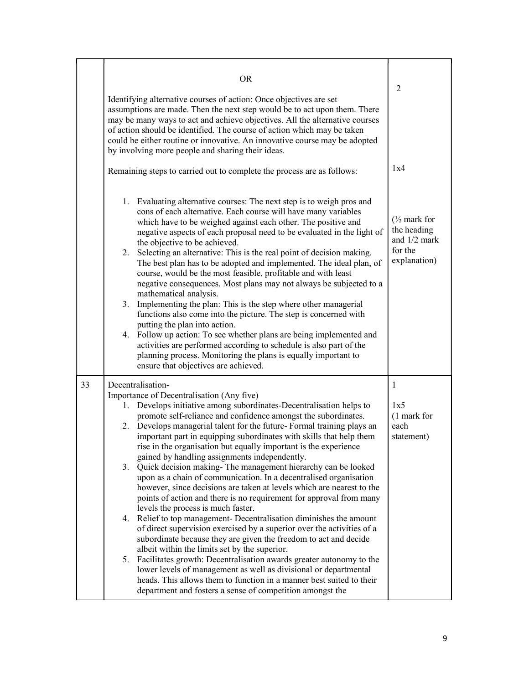|    | <b>OR</b><br>Identifying alternative courses of action: Once objectives are set<br>assumptions are made. Then the next step would be to act upon them. There<br>may be many ways to act and achieve objectives. All the alternative courses<br>of action should be identified. The course of action which may be taken<br>could be either routine or innovative. An innovative course may be adopted<br>by involving more people and sharing their ideas.<br>Remaining steps to carried out to complete the process are as follows:                                                                                                                                                                                                                                                                                                                                                                                                                                                                                                                                                                                                                                                                                                                                                                                                                                    | 2<br>1x4                                                                           |
|----|------------------------------------------------------------------------------------------------------------------------------------------------------------------------------------------------------------------------------------------------------------------------------------------------------------------------------------------------------------------------------------------------------------------------------------------------------------------------------------------------------------------------------------------------------------------------------------------------------------------------------------------------------------------------------------------------------------------------------------------------------------------------------------------------------------------------------------------------------------------------------------------------------------------------------------------------------------------------------------------------------------------------------------------------------------------------------------------------------------------------------------------------------------------------------------------------------------------------------------------------------------------------------------------------------------------------------------------------------------------------|------------------------------------------------------------------------------------|
|    | 1. Evaluating alternative courses: The next step is to weigh pros and<br>cons of each alternative. Each course will have many variables<br>which have to be weighed against each other. The positive and<br>negative aspects of each proposal need to be evaluated in the light of<br>the objective to be achieved.<br>2. Selecting an alternative: This is the real point of decision making.<br>The best plan has to be adopted and implemented. The ideal plan, of<br>course, would be the most feasible, profitable and with least<br>negative consequences. Most plans may not always be subjected to a<br>mathematical analysis.<br>Implementing the plan: This is the step where other managerial<br>3.<br>functions also come into the picture. The step is concerned with<br>putting the plan into action.<br>4. Follow up action: To see whether plans are being implemented and<br>activities are performed according to schedule is also part of the<br>planning process. Monitoring the plans is equally important to<br>ensure that objectives are achieved.                                                                                                                                                                                                                                                                                             | $\frac{1}{2}$ mark for<br>the heading<br>and $1/2$ mark<br>for the<br>explanation) |
| 33 | Decentralisation-<br>Importance of Decentralisation (Any five)<br>1. Develops initiative among subordinates-Decentralisation helps to<br>promote self-reliance and confidence amongst the subordinates.<br>2. Develops managerial talent for the future-Formal training plays an<br>important part in equipping subordinates with skills that help them<br>rise in the organisation but equally important is the experience<br>gained by handling assignments independently.<br>3. Quick decision making-The management hierarchy can be looked<br>upon as a chain of communication. In a decentralised organisation<br>however, since decisions are taken at levels which are nearest to the<br>points of action and there is no requirement for approval from many<br>levels the process is much faster.<br>4. Relief to top management- Decentralisation diminishes the amount<br>of direct supervision exercised by a superior over the activities of a<br>subordinate because they are given the freedom to act and decide<br>albeit within the limits set by the superior.<br>Facilitates growth: Decentralisation awards greater autonomy to the<br>5.<br>lower levels of management as well as divisional or departmental<br>heads. This allows them to function in a manner best suited to their<br>department and fosters a sense of competition amongst the | 1<br>1x5<br>(1 mark for<br>each<br>statement)                                      |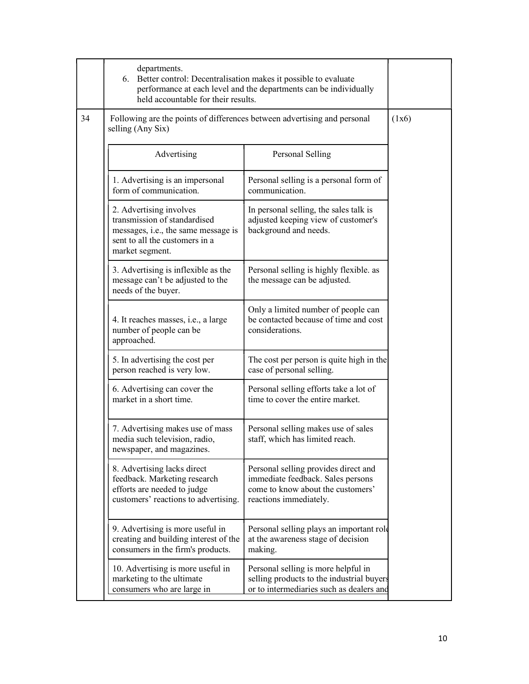|    | departments.<br>6. Better control: Decentralisation makes it possible to evaluate<br>held accountable for their results.                            | performance at each level and the departments can be individually                                                                        |       |
|----|-----------------------------------------------------------------------------------------------------------------------------------------------------|------------------------------------------------------------------------------------------------------------------------------------------|-------|
| 34 | Following are the points of differences between advertising and personal<br>selling (Any Six)                                                       |                                                                                                                                          | (1x6) |
|    | Advertising                                                                                                                                         | Personal Selling                                                                                                                         |       |
|    | 1. Advertising is an impersonal<br>form of communication.                                                                                           | Personal selling is a personal form of<br>communication.                                                                                 |       |
|    | 2. Advertising involves<br>transmission of standardised<br>messages, i.e., the same message is<br>sent to all the customers in a<br>market segment. | In personal selling, the sales talk is<br>adjusted keeping view of customer's<br>background and needs.                                   |       |
|    | 3. Advertising is inflexible as the<br>message can't be adjusted to the<br>needs of the buyer.                                                      | Personal selling is highly flexible. as<br>the message can be adjusted.                                                                  |       |
|    | 4. It reaches masses, i.e., a large<br>number of people can be<br>approached.                                                                       | Only a limited number of people can<br>be contacted because of time and cost<br>considerations.                                          |       |
|    | 5. In advertising the cost per<br>person reached is very low.                                                                                       | The cost per person is quite high in the<br>case of personal selling.                                                                    |       |
|    | 6. Advertising can cover the<br>market in a short time.                                                                                             | Personal selling efforts take a lot of<br>time to cover the entire market.                                                               |       |
|    | 7. Advertising makes use of mass<br>media such television, radio,<br>newspaper, and magazines.                                                      | Personal selling makes use of sales<br>staff, which has limited reach.                                                                   |       |
|    | 8. Advertising lacks direct<br>feedback. Marketing research<br>efforts are needed to judge<br>customers' reactions to advertising.                  | Personal selling provides direct and<br>immediate feedback. Sales persons<br>come to know about the customers'<br>reactions immediately. |       |
|    | 9. Advertising is more useful in<br>creating and building interest of the<br>consumers in the firm's products.                                      | Personal selling plays an important role<br>at the awareness stage of decision<br>making.                                                |       |
|    | 10. Advertising is more useful in<br>marketing to the ultimate<br>consumers who are large in                                                        | Personal selling is more helpful in<br>selling products to the industrial buyers<br>or to intermediaries such as dealers and             |       |